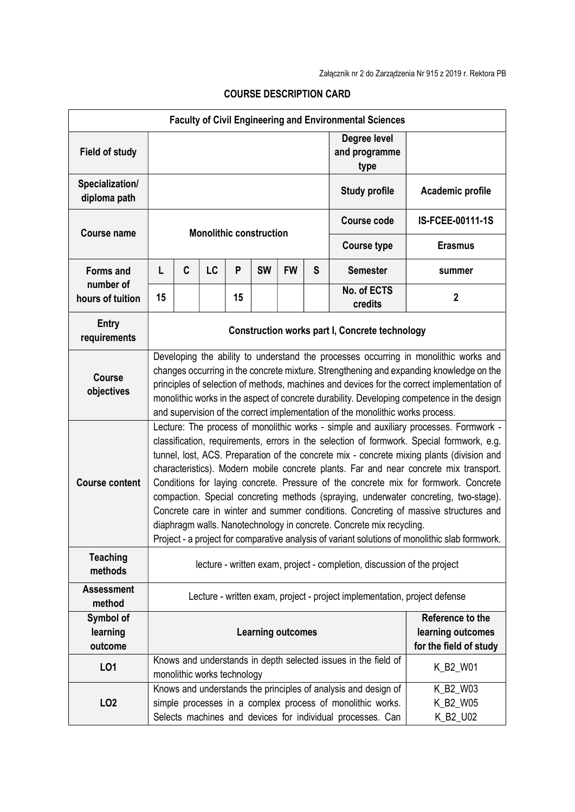| <b>Faculty of Civil Engineering and Environmental Sciences</b> |                                                                                                                                                                                                                                                                                                                                                                                                                                                                                                                                                                                                                                                                                                                                                                                                                          |   |                             |    |           |           |                                                                 |                                                                |                  |
|----------------------------------------------------------------|--------------------------------------------------------------------------------------------------------------------------------------------------------------------------------------------------------------------------------------------------------------------------------------------------------------------------------------------------------------------------------------------------------------------------------------------------------------------------------------------------------------------------------------------------------------------------------------------------------------------------------------------------------------------------------------------------------------------------------------------------------------------------------------------------------------------------|---|-----------------------------|----|-----------|-----------|-----------------------------------------------------------------|----------------------------------------------------------------|------------------|
| <b>Field of study</b>                                          |                                                                                                                                                                                                                                                                                                                                                                                                                                                                                                                                                                                                                                                                                                                                                                                                                          |   |                             |    |           |           |                                                                 | Degree level<br>and programme<br>type                          |                  |
| Specialization/<br>diploma path                                |                                                                                                                                                                                                                                                                                                                                                                                                                                                                                                                                                                                                                                                                                                                                                                                                                          |   |                             |    |           |           |                                                                 | <b>Study profile</b>                                           | Academic profile |
| <b>Course name</b>                                             | <b>Monolithic construction</b>                                                                                                                                                                                                                                                                                                                                                                                                                                                                                                                                                                                                                                                                                                                                                                                           |   |                             |    |           |           |                                                                 | <b>Course code</b>                                             | IS-FCEE-00111-1S |
|                                                                |                                                                                                                                                                                                                                                                                                                                                                                                                                                                                                                                                                                                                                                                                                                                                                                                                          |   |                             |    |           |           |                                                                 | <b>Course type</b>                                             | <b>Erasmus</b>   |
| <b>Forms and</b>                                               | L                                                                                                                                                                                                                                                                                                                                                                                                                                                                                                                                                                                                                                                                                                                                                                                                                        | C | LC                          | P  | <b>SW</b> | <b>FW</b> | S                                                               | <b>Semester</b>                                                | summer           |
| number of<br>hours of tuition                                  | 15                                                                                                                                                                                                                                                                                                                                                                                                                                                                                                                                                                                                                                                                                                                                                                                                                       |   |                             | 15 |           |           |                                                                 | No. of ECTS<br>credits                                         | $\mathbf 2$      |
| <b>Entry</b><br>requirements                                   | <b>Construction works part I, Concrete technology</b>                                                                                                                                                                                                                                                                                                                                                                                                                                                                                                                                                                                                                                                                                                                                                                    |   |                             |    |           |           |                                                                 |                                                                |                  |
| <b>Course</b><br>objectives                                    | Developing the ability to understand the processes occurring in monolithic works and<br>changes occurring in the concrete mixture. Strengthening and expanding knowledge on the<br>principles of selection of methods, machines and devices for the correct implementation of<br>monolithic works in the aspect of concrete durability. Developing competence in the design<br>and supervision of the correct implementation of the monolithic works process.                                                                                                                                                                                                                                                                                                                                                            |   |                             |    |           |           |                                                                 |                                                                |                  |
| <b>Course content</b>                                          | Lecture: The process of monolithic works - simple and auxiliary processes. Formwork -<br>classification, requirements, errors in the selection of formwork. Special formwork, e.g.<br>tunnel, lost, ACS. Preparation of the concrete mix - concrete mixing plants (division and<br>characteristics). Modern mobile concrete plants. Far and near concrete mix transport.<br>Conditions for laying concrete. Pressure of the concrete mix for formwork. Concrete<br>compaction. Special concreting methods (spraying, underwater concreting, two-stage).<br>Concrete care in winter and summer conditions. Concreting of massive structures and<br>diaphragm walls. Nanotechnology in concrete. Concrete mix recycling.<br>Project - a project for comparative analysis of variant solutions of monolithic slab formwork. |   |                             |    |           |           |                                                                 |                                                                |                  |
| <b>Teaching</b><br>methods                                     | lecture - written exam, project - completion, discussion of the project                                                                                                                                                                                                                                                                                                                                                                                                                                                                                                                                                                                                                                                                                                                                                  |   |                             |    |           |           |                                                                 |                                                                |                  |
| <b>Assessment</b><br>method                                    | Lecture - written exam, project - project implementation, project defense                                                                                                                                                                                                                                                                                                                                                                                                                                                                                                                                                                                                                                                                                                                                                |   |                             |    |           |           |                                                                 |                                                                |                  |
| Symbol of<br>learning<br>outcome                               | <b>Learning outcomes</b>                                                                                                                                                                                                                                                                                                                                                                                                                                                                                                                                                                                                                                                                                                                                                                                                 |   |                             |    |           |           | Reference to the<br>learning outcomes<br>for the field of study |                                                                |                  |
| LO1                                                            |                                                                                                                                                                                                                                                                                                                                                                                                                                                                                                                                                                                                                                                                                                                                                                                                                          |   | monolithic works technology |    |           |           |                                                                 | Knows and understands in depth selected issues in the field of | K_B2_W01         |
| LO <sub>2</sub>                                                | Knows and understands the principles of analysis and design of<br>K_B2_W03<br>simple processes in a complex process of monolithic works.<br>K_B2_W05<br>Selects machines and devices for individual processes. Can<br>K_B2_U02                                                                                                                                                                                                                                                                                                                                                                                                                                                                                                                                                                                           |   |                             |    |           |           |                                                                 |                                                                |                  |

## COURSE DESCRIPTION CARD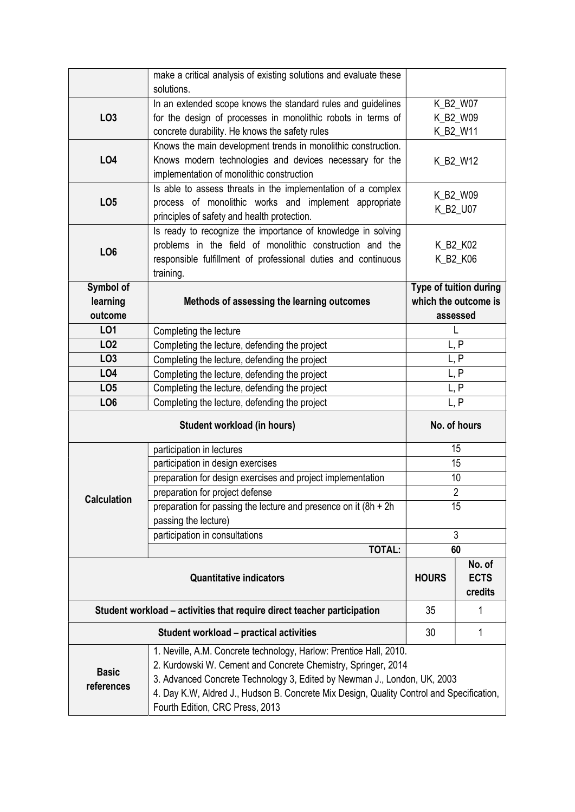|                    | make a critical analysis of existing solutions and evaluate these<br>solutions.                                             |                        |                                  |  |
|--------------------|-----------------------------------------------------------------------------------------------------------------------------|------------------------|----------------------------------|--|
|                    | In an extended scope knows the standard rules and guidelines                                                                |                        |                                  |  |
| LO <sub>3</sub>    | for the design of processes in monolithic robots in terms of                                                                | K_B2_W07<br>K_B2_W09   |                                  |  |
|                    | concrete durability. He knows the safety rules                                                                              | K_B2_W11               |                                  |  |
|                    | Knows the main development trends in monolithic construction.                                                               |                        |                                  |  |
| LO4                | Knows modern technologies and devices necessary for the                                                                     | K_B2_W12               |                                  |  |
|                    | implementation of monolithic construction                                                                                   |                        |                                  |  |
|                    | Is able to assess threats in the implementation of a complex                                                                |                        |                                  |  |
| LO <sub>5</sub>    | process of monolithic works and implement appropriate                                                                       | K_B2_W09               |                                  |  |
|                    | principles of safety and health protection.                                                                                 | K_B2_U07               |                                  |  |
|                    | Is ready to recognize the importance of knowledge in solving                                                                |                        |                                  |  |
|                    | problems in the field of monolithic construction and the                                                                    | K_B2_K02               |                                  |  |
| LO <sub>6</sub>    | responsible fulfillment of professional duties and continuous                                                               | K_B2_K06               |                                  |  |
|                    | training.                                                                                                                   |                        |                                  |  |
| Symbol of          |                                                                                                                             | Type of tuition during |                                  |  |
| learning           | Methods of assessing the learning outcomes                                                                                  | which the outcome is   |                                  |  |
| outcome            |                                                                                                                             | assessed               |                                  |  |
| LO1                | Completing the lecture                                                                                                      | L                      |                                  |  |
| LO <sub>2</sub>    | Completing the lecture, defending the project                                                                               | L, P                   |                                  |  |
| LO <sub>3</sub>    | Completing the lecture, defending the project                                                                               | L, P                   |                                  |  |
| LO <sub>4</sub>    | Completing the lecture, defending the project                                                                               | L, P                   |                                  |  |
|                    | Completing the lecture, defending the project<br>L, P                                                                       |                        |                                  |  |
| LO <sub>5</sub>    |                                                                                                                             |                        |                                  |  |
| LO <sub>6</sub>    | Completing the lecture, defending the project                                                                               | L, P                   |                                  |  |
|                    | Student workload (in hours)                                                                                                 | No. of hours           |                                  |  |
|                    | participation in lectures                                                                                                   | 15                     |                                  |  |
|                    | participation in design exercises                                                                                           |                        | 15                               |  |
|                    | preparation for design exercises and project implementation                                                                 | 10                     |                                  |  |
|                    | preparation for project defense                                                                                             | $\overline{2}$         |                                  |  |
| <b>Calculation</b> | preparation for passing the lecture and presence on it $(8h + 2h)$                                                          | 15                     |                                  |  |
|                    | passing the lecture)                                                                                                        |                        |                                  |  |
|                    | participation in consultations                                                                                              | 3                      |                                  |  |
|                    | <b>TOTAL:</b>                                                                                                               | 60                     |                                  |  |
|                    | <b>Quantitative indicators</b>                                                                                              | <b>HOURS</b>           | No. of<br><b>ECTS</b><br>credits |  |
|                    | Student workload – activities that require direct teacher participation                                                     | 35                     | 1                                |  |
|                    | <b>Student workload - practical activities</b>                                                                              | 30                     | 1                                |  |
|                    | 1. Neville, A.M. Concrete technology, Harlow: Prentice Hall, 2010.                                                          |                        |                                  |  |
|                    | 2. Kurdowski W. Cement and Concrete Chemistry, Springer, 2014                                                               |                        |                                  |  |
| <b>Basic</b>       | 3. Advanced Concrete Technology 3, Edited by Newman J., London, UK, 2003                                                    |                        |                                  |  |
| references         | 4. Day K.W, Aldred J., Hudson B. Concrete Mix Design, Quality Control and Specification,<br>Fourth Edition, CRC Press, 2013 |                        |                                  |  |